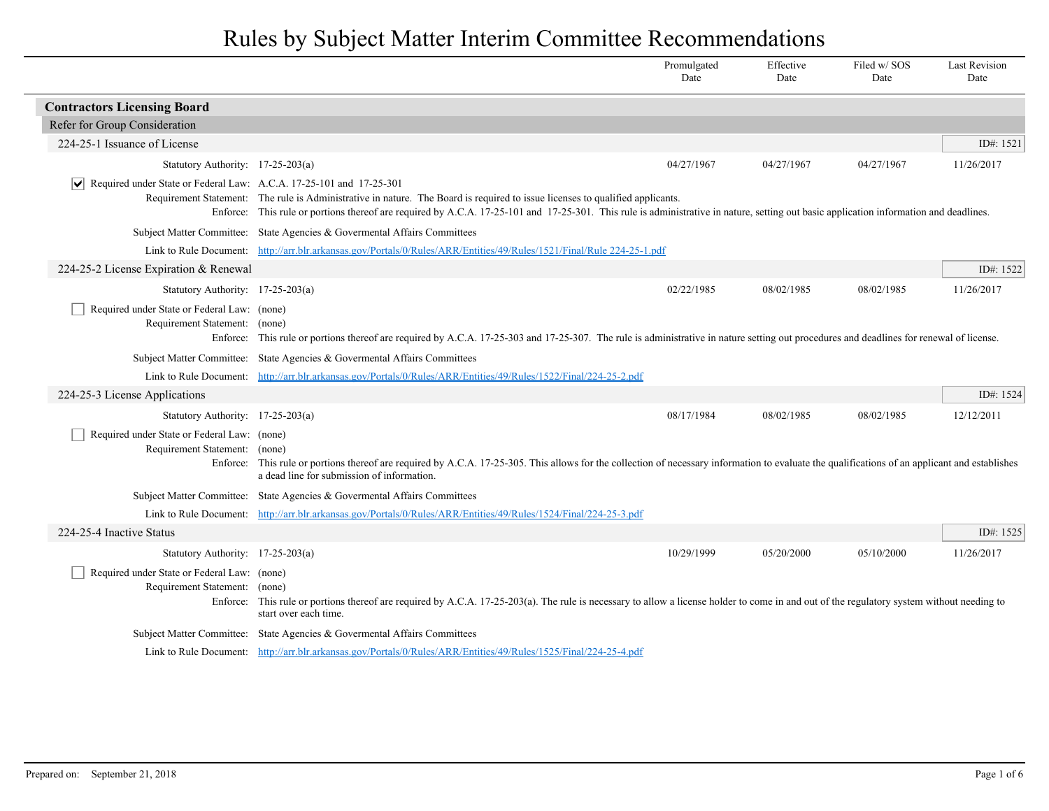|                                                                       |                                                                                                                                                                                                                                                                                                                         | Promulgated<br>Date | Effective<br>Date | Filed w/SOS<br>Date | <b>Last Revision</b><br>Date |
|-----------------------------------------------------------------------|-------------------------------------------------------------------------------------------------------------------------------------------------------------------------------------------------------------------------------------------------------------------------------------------------------------------------|---------------------|-------------------|---------------------|------------------------------|
| <b>Contractors Licensing Board</b>                                    |                                                                                                                                                                                                                                                                                                                         |                     |                   |                     |                              |
| Refer for Group Consideration                                         |                                                                                                                                                                                                                                                                                                                         |                     |                   |                     |                              |
| 224-25-1 Issuance of License                                          |                                                                                                                                                                                                                                                                                                                         |                     |                   |                     | ID#: 1521                    |
| Statutory Authority: 17-25-203(a)                                     |                                                                                                                                                                                                                                                                                                                         | 04/27/1967          | 04/27/1967        | 04/27/1967          | 11/26/2017                   |
| Required under State or Federal Law: A.C.A. 17-25-101 and 17-25-301   | Requirement Statement: The rule is Administrative in nature. The Board is required to issue licenses to qualified applicants.<br>Enforce: This rule or portions thereof are required by A.C.A. 17-25-101 and 17-25-301. This rule is administrative in nature, setting out basic application information and deadlines. |                     |                   |                     |                              |
|                                                                       | Subject Matter Committee: State Agencies & Governmental Affairs Committees                                                                                                                                                                                                                                              |                     |                   |                     |                              |
|                                                                       | Link to Rule Document: http://arr.blr.arkansas.gov/Portals/0/Rules/ARR/Entities/49/Rules/1521/Final/Rule 224-25-1.pdf                                                                                                                                                                                                   |                     |                   |                     |                              |
| 224-25-2 License Expiration & Renewal                                 |                                                                                                                                                                                                                                                                                                                         |                     |                   |                     | ID#: 1522                    |
| Statutory Authority: 17-25-203(a)                                     |                                                                                                                                                                                                                                                                                                                         | 02/22/1985          | 08/02/1985        | 08/02/1985          | 11/26/2017                   |
| Required under State or Federal Law: (none)<br>Requirement Statement: | (none)<br>Enforce: This rule or portions thereof are required by A.C.A. 17-25-303 and 17-25-307. The rule is administrative in nature setting out procedures and deadlines for renewal of license.                                                                                                                      |                     |                   |                     |                              |
|                                                                       | Subject Matter Committee: State Agencies & Governental Affairs Committees                                                                                                                                                                                                                                               |                     |                   |                     |                              |
|                                                                       | Link to Rule Document: http://arr.blr.arkansas.gov/Portals/0/Rules/ARR/Entities/49/Rules/1522/Final/224-25-2.pdf                                                                                                                                                                                                        |                     |                   |                     |                              |
| 224-25-3 License Applications                                         |                                                                                                                                                                                                                                                                                                                         |                     |                   |                     | ID#: 1524                    |
| Statutory Authority: 17-25-203(a)                                     |                                                                                                                                                                                                                                                                                                                         | 08/17/1984          | 08/02/1985        | 08/02/1985          | 12/12/2011                   |
| Required under State or Federal Law: (none)<br>Requirement Statement: | (none)<br>Enforce: This rule or portions thereof are required by A.C.A. 17-25-305. This allows for the collection of necessary information to evaluate the qualifications of an applicant and establishes<br>a dead line for submission of information.                                                                 |                     |                   |                     |                              |
|                                                                       | Subject Matter Committee: State Agencies & Governmental Affairs Committees                                                                                                                                                                                                                                              |                     |                   |                     |                              |
|                                                                       | Link to Rule Document: http://arr.blr.arkansas.gov/Portals/0/Rules/ARR/Entities/49/Rules/1524/Final/224-25-3.pdf                                                                                                                                                                                                        |                     |                   |                     |                              |
| 224-25-4 Inactive Status                                              |                                                                                                                                                                                                                                                                                                                         |                     |                   |                     | ID#: 1525                    |
| Statutory Authority: 17-25-203(a)                                     |                                                                                                                                                                                                                                                                                                                         | 10/29/1999          | 05/20/2000        | 05/10/2000          | 11/26/2017                   |
| Required under State or Federal Law: (none)<br>Requirement Statement: | (none)<br>Enforce: This rule or portions thereof are required by A.C.A. 17-25-203(a). The rule is necessary to allow a license holder to come in and out of the regulatory system without needing to<br>start over each time.                                                                                           |                     |                   |                     |                              |
| <b>Subject Matter Committee:</b>                                      | State Agencies & Govermental Affairs Committees                                                                                                                                                                                                                                                                         |                     |                   |                     |                              |
|                                                                       | Link to Rule Document: http://arr.blr.arkansas.gov/Portals/0/Rules/ARR/Entities/49/Rules/1525/Final/224-25-4.pdf                                                                                                                                                                                                        |                     |                   |                     |                              |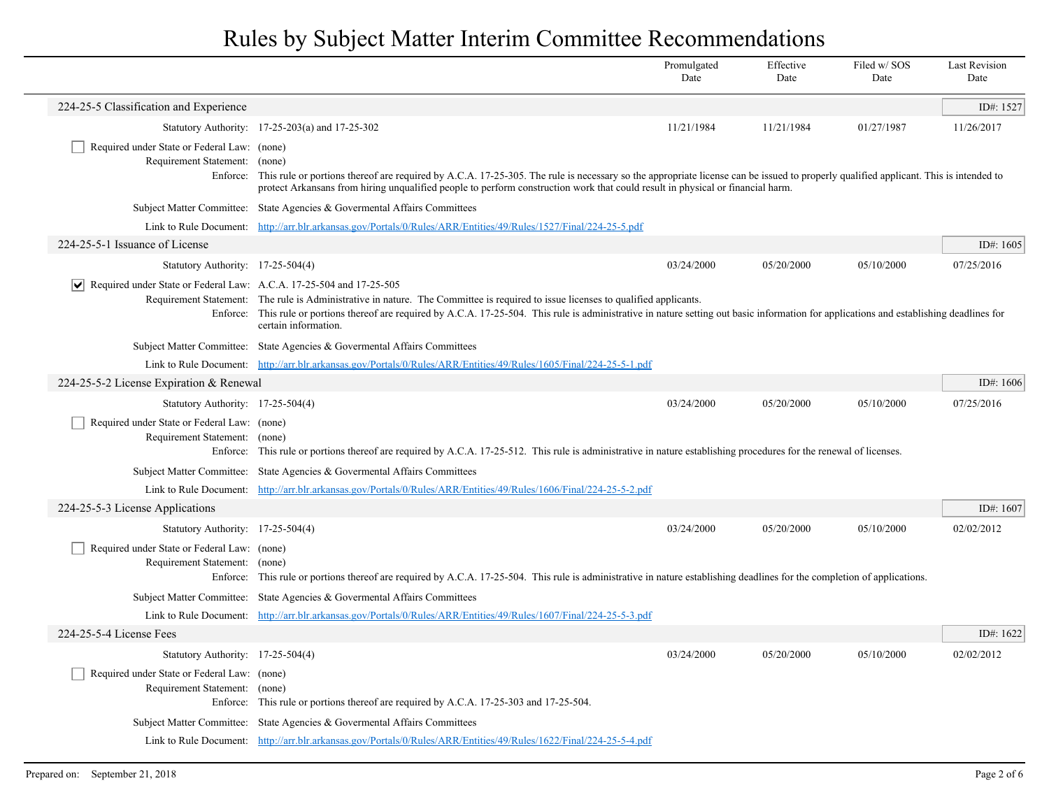|                                                                              |                                                                                                                                                                                                                                                                                                                                                           | Promulgated<br>Date | Effective<br>Date | Filed w/SOS<br>Date | <b>Last Revision</b><br>Date |
|------------------------------------------------------------------------------|-----------------------------------------------------------------------------------------------------------------------------------------------------------------------------------------------------------------------------------------------------------------------------------------------------------------------------------------------------------|---------------------|-------------------|---------------------|------------------------------|
| 224-25-5 Classification and Experience                                       |                                                                                                                                                                                                                                                                                                                                                           |                     |                   |                     | ID#: 1527                    |
|                                                                              | Statutory Authority: 17-25-203(a) and 17-25-302                                                                                                                                                                                                                                                                                                           | 11/21/1984          | 11/21/1984        | 01/27/1987          | 11/26/2017                   |
| Required under State or Federal Law: (none)<br>Requirement Statement:        | (none)<br>Enforce: This rule or portions thereof are required by A.C.A. 17-25-305. The rule is necessary so the appropriate license can be issued to properly qualified applicant. This is intended to<br>protect Arkansans from hiring unqualified people to perform construction work that could result in physical or financial harm.                  |                     |                   |                     |                              |
|                                                                              | Subject Matter Committee: State Agencies & Governental Affairs Committees                                                                                                                                                                                                                                                                                 |                     |                   |                     |                              |
|                                                                              | Link to Rule Document: http://arr.blr.arkansas.gov/Portals/0/Rules/ARR/Entities/49/Rules/1527/Final/224-25-5.pdf                                                                                                                                                                                                                                          |                     |                   |                     |                              |
| 224-25-5-1 Issuance of License                                               |                                                                                                                                                                                                                                                                                                                                                           |                     |                   |                     | ID#: 1605                    |
| Statutory Authority: 17-25-504(4)                                            |                                                                                                                                                                                                                                                                                                                                                           | 03/24/2000          | 05/20/2000        | 05/10/2000          | 07/25/2016                   |
| Required under State or Federal Law: A.C.A. 17-25-504 and 17-25-505          | Requirement Statement: The rule is Administrative in nature. The Committee is required to issue licenses to qualified applicants.<br>Enforce: This rule or portions thereof are required by A.C.A. 17-25-504. This rule is administrative in nature setting out basic information for applications and establishing deadlines for<br>certain information. |                     |                   |                     |                              |
|                                                                              | Subject Matter Committee: State Agencies & Governental Affairs Committees                                                                                                                                                                                                                                                                                 |                     |                   |                     |                              |
|                                                                              | Link to Rule Document: http://arr.blr.arkansas.gov/Portals/0/Rules/ARR/Entities/49/Rules/1605/Final/224-25-5-1.pdf                                                                                                                                                                                                                                        |                     |                   |                     |                              |
| 224-25-5-2 License Expiration & Renewal                                      |                                                                                                                                                                                                                                                                                                                                                           |                     |                   |                     | ID#: $1606$                  |
| Statutory Authority: 17-25-504(4)                                            |                                                                                                                                                                                                                                                                                                                                                           | 03/24/2000          | 05/20/2000        | 05/10/2000          | 07/25/2016                   |
| Required under State or Federal Law: (none)<br>Requirement Statement: (none) | Enforce: This rule or portions thereof are required by A.C.A. 17-25-512. This rule is administrative in nature establishing procedures for the renewal of licenses.                                                                                                                                                                                       |                     |                   |                     |                              |
|                                                                              | Subject Matter Committee: State Agencies & Governental Affairs Committees                                                                                                                                                                                                                                                                                 |                     |                   |                     |                              |
|                                                                              | Link to Rule Document: http://arr.blr.arkansas.gov/Portals/0/Rules/ARR/Entities/49/Rules/1606/Final/224-25-5-2.pdf                                                                                                                                                                                                                                        |                     |                   |                     |                              |
| 224-25-5-3 License Applications                                              |                                                                                                                                                                                                                                                                                                                                                           |                     |                   |                     | ID#: $1607$                  |
| Statutory Authority: 17-25-504(4)                                            |                                                                                                                                                                                                                                                                                                                                                           | 03/24/2000          | 05/20/2000        | 05/10/2000          | 02/02/2012                   |
| Required under State or Federal Law: (none)<br>Requirement Statement: (none) | Enforce: This rule or portions thereof are required by A.C.A. 17-25-504. This rule is administrative in nature establishing deadlines for the completion of applications.                                                                                                                                                                                 |                     |                   |                     |                              |
|                                                                              | Subject Matter Committee: State Agencies & Governental Affairs Committees                                                                                                                                                                                                                                                                                 |                     |                   |                     |                              |
|                                                                              | Link to Rule Document: http://arr.blr.arkansas.gov/Portals/0/Rules/ARR/Entities/49/Rules/1607/Final/224-25-5-3.pdf                                                                                                                                                                                                                                        |                     |                   |                     |                              |
| 224-25-5-4 License Fees                                                      |                                                                                                                                                                                                                                                                                                                                                           |                     |                   |                     | ID#: $1622$                  |
| Statutory Authority: 17-25-504(4)                                            |                                                                                                                                                                                                                                                                                                                                                           | 03/24/2000          | 05/20/2000        | 05/10/2000          | 02/02/2012                   |
| Required under State or Federal Law: (none)<br>Requirement Statement: (none) | Enforce: This rule or portions thereof are required by A.C.A. 17-25-303 and 17-25-504.                                                                                                                                                                                                                                                                    |                     |                   |                     |                              |
|                                                                              | Subject Matter Committee: State Agencies & Governental Affairs Committees                                                                                                                                                                                                                                                                                 |                     |                   |                     |                              |
|                                                                              | Link to Rule Document: http://arr.blr.arkansas.gov/Portals/0/Rules/ARR/Entities/49/Rules/1622/Final/224-25-5-4.pdf                                                                                                                                                                                                                                        |                     |                   |                     |                              |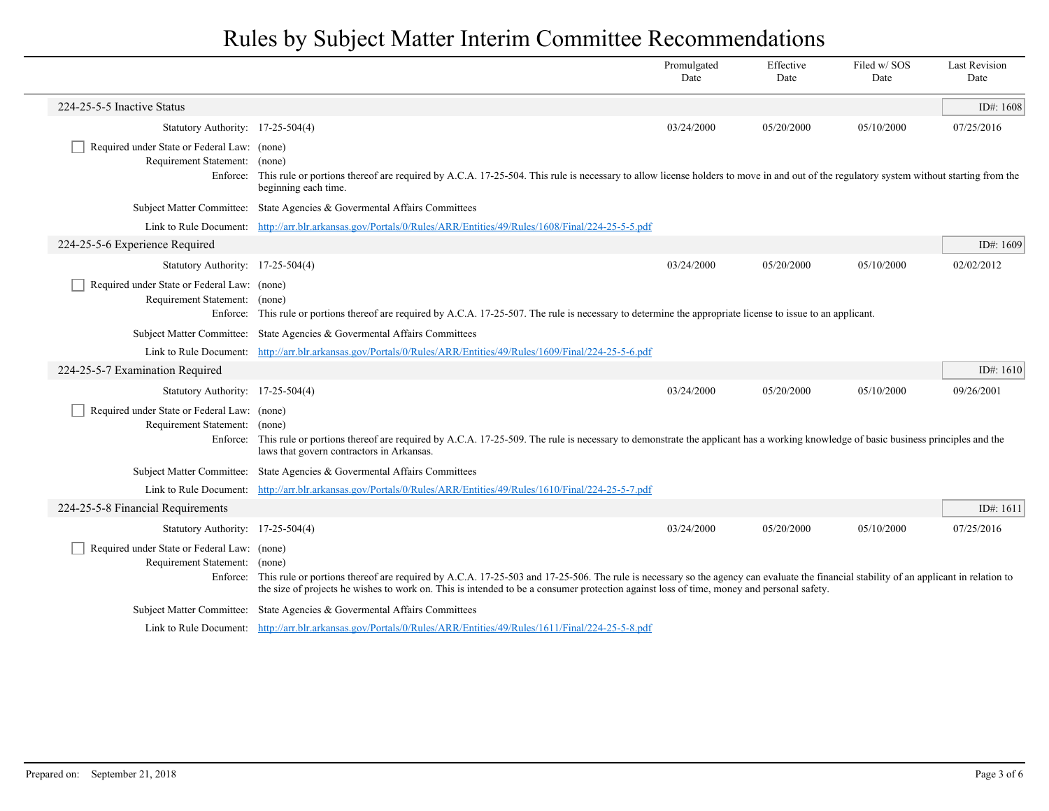|                                                                              |                                                                                                                                                                                                                                                                                                                                            | Promulgated<br>Date | Effective<br>Date | Filed w/SOS<br>Date | <b>Last Revision</b><br>Date |
|------------------------------------------------------------------------------|--------------------------------------------------------------------------------------------------------------------------------------------------------------------------------------------------------------------------------------------------------------------------------------------------------------------------------------------|---------------------|-------------------|---------------------|------------------------------|
| 224-25-5-5 Inactive Status                                                   |                                                                                                                                                                                                                                                                                                                                            |                     |                   |                     | ID#: 1608                    |
| Statutory Authority: 17-25-504(4)                                            |                                                                                                                                                                                                                                                                                                                                            | 03/24/2000          | 05/20/2000        | 05/10/2000          | 07/25/2016                   |
| Required under State or Federal Law: (none)<br>Requirement Statement: (none) | Enforce: This rule or portions thereof are required by A.C.A. 17-25-504. This rule is necessary to allow license holders to move in and out of the regulatory system without starting from the<br>beginning each time.                                                                                                                     |                     |                   |                     |                              |
|                                                                              | Subject Matter Committee: State Agencies & Governental Affairs Committees                                                                                                                                                                                                                                                                  |                     |                   |                     |                              |
|                                                                              | Link to Rule Document: http://arr.blr.arkansas.gov/Portals/0/Rules/ARR/Entities/49/Rules/1608/Final/224-25-5-5.pdf                                                                                                                                                                                                                         |                     |                   |                     |                              |
| 224-25-5-6 Experience Required                                               |                                                                                                                                                                                                                                                                                                                                            |                     |                   |                     | ID#: 1609                    |
| Statutory Authority: 17-25-504(4)                                            |                                                                                                                                                                                                                                                                                                                                            | 03/24/2000          | 05/20/2000        | 05/10/2000          | 02/02/2012                   |
| Required under State or Federal Law: (none)<br>Requirement Statement: (none) | Enforce: This rule or portions thereof are required by A.C.A. 17-25-507. The rule is necessary to determine the appropriate license to issue to an applicant.                                                                                                                                                                              |                     |                   |                     |                              |
|                                                                              | Subject Matter Committee: State Agencies & Governental Affairs Committees                                                                                                                                                                                                                                                                  |                     |                   |                     |                              |
|                                                                              | Link to Rule Document: http://arr.blr.arkansas.gov/Portals/0/Rules/ARR/Entities/49/Rules/1609/Final/224-25-5-6.pdf                                                                                                                                                                                                                         |                     |                   |                     |                              |
| 224-25-5-7 Examination Required                                              |                                                                                                                                                                                                                                                                                                                                            |                     |                   |                     | ID#: $1610$                  |
| Statutory Authority: 17-25-504(4)                                            |                                                                                                                                                                                                                                                                                                                                            | 03/24/2000          | 05/20/2000        | 05/10/2000          | 09/26/2001                   |
| Required under State or Federal Law: (none)<br>Requirement Statement: (none) | Enforce: This rule or portions thereof are required by A.C.A. 17-25-509. The rule is necessary to demonstrate the applicant has a working knowledge of basic business principles and the<br>laws that govern contractors in Arkansas.                                                                                                      |                     |                   |                     |                              |
|                                                                              | Subject Matter Committee: State Agencies & Governental Affairs Committees                                                                                                                                                                                                                                                                  |                     |                   |                     |                              |
|                                                                              | Link to Rule Document: http://arr.blr.arkansas.gov/Portals/0/Rules/ARR/Entities/49/Rules/1610/Final/224-25-5-7.pdf                                                                                                                                                                                                                         |                     |                   |                     |                              |
| 224-25-5-8 Financial Requirements                                            |                                                                                                                                                                                                                                                                                                                                            |                     |                   |                     | ID#: $1611$                  |
| Statutory Authority: 17-25-504(4)                                            |                                                                                                                                                                                                                                                                                                                                            | 03/24/2000          | 05/20/2000        | 05/10/2000          | 07/25/2016                   |
| Required under State or Federal Law: (none)<br>Requirement Statement: (none) | Enforce: This rule or portions thereof are required by A.C.A. 17-25-503 and 17-25-506. The rule is necessary so the agency can evaluate the financial stability of an applicant in relation to<br>the size of projects he wishes to work on. This is intended to be a consumer protection against loss of time, money and personal safety. |                     |                   |                     |                              |
|                                                                              | Subject Matter Committee: State Agencies & Governental Affairs Committees                                                                                                                                                                                                                                                                  |                     |                   |                     |                              |
|                                                                              | Link to Rule Document: http://arr.blr.arkansas.gov/Portals/0/Rules/ARR/Entities/49/Rules/1611/Final/224-25-5-8.pdf                                                                                                                                                                                                                         |                     |                   |                     |                              |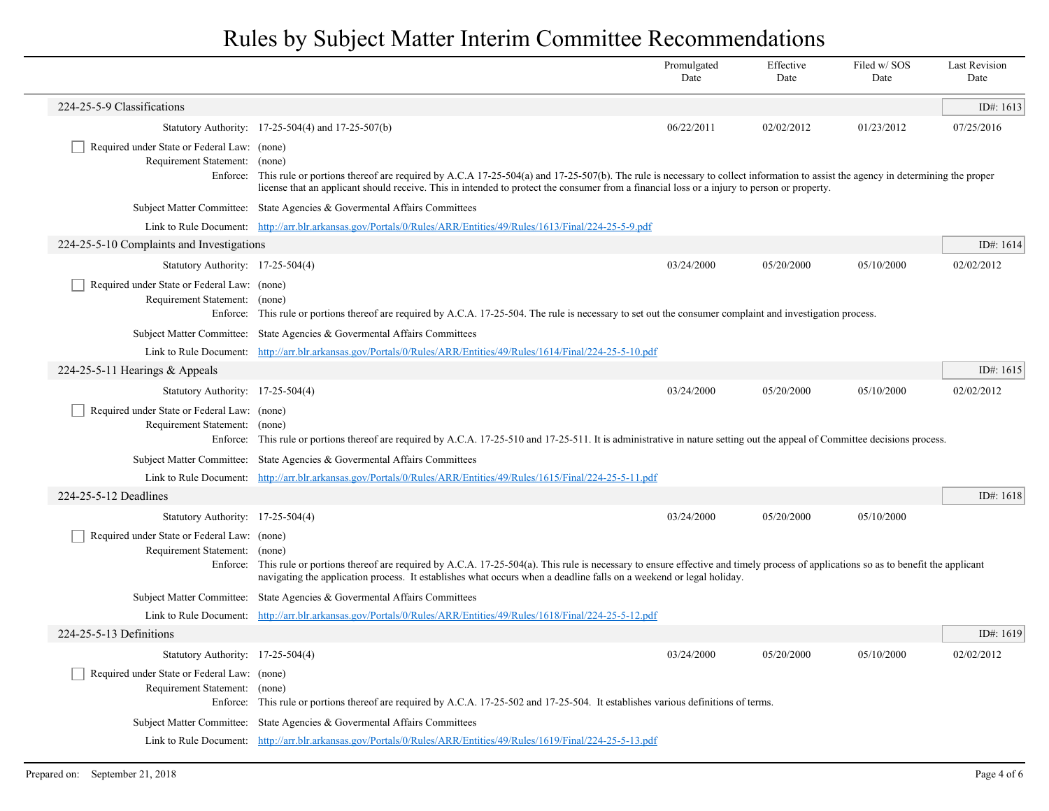|                                                                              |                                                                                                                                                                                                                                                                                                                                                  | Promulgated<br>Date | Effective<br>Date | Filed w/SOS<br>Date | <b>Last Revision</b><br>Date |
|------------------------------------------------------------------------------|--------------------------------------------------------------------------------------------------------------------------------------------------------------------------------------------------------------------------------------------------------------------------------------------------------------------------------------------------|---------------------|-------------------|---------------------|------------------------------|
| 224-25-5-9 Classifications                                                   |                                                                                                                                                                                                                                                                                                                                                  |                     |                   |                     | ID#: $1613$                  |
|                                                                              | Statutory Authority: 17-25-504(4) and 17-25-507(b)                                                                                                                                                                                                                                                                                               | 06/22/2011          | 02/02/2012        | 01/23/2012          | 07/25/2016                   |
| Required under State or Federal Law: (none)<br>Requirement Statement:        | (none)<br>Enforce: This rule or portions thereof are required by A.C.A 17-25-504(a) and 17-25-507(b). The rule is necessary to collect information to assist the agency in determining the proper<br>license that an applicant should receive. This in intended to protect the consumer from a financial loss or a injury to person or property. |                     |                   |                     |                              |
|                                                                              | Subject Matter Committee: State Agencies & Governental Affairs Committees                                                                                                                                                                                                                                                                        |                     |                   |                     |                              |
|                                                                              | Link to Rule Document: http://arr.blr.arkansas.gov/Portals/0/Rules/ARR/Entities/49/Rules/1613/Final/224-25-5-9.pdf                                                                                                                                                                                                                               |                     |                   |                     |                              |
| 224-25-5-10 Complaints and Investigations                                    |                                                                                                                                                                                                                                                                                                                                                  |                     |                   |                     | ID#: 1614                    |
| Statutory Authority: 17-25-504(4)                                            |                                                                                                                                                                                                                                                                                                                                                  | 03/24/2000          | 05/20/2000        | 05/10/2000          | 02/02/2012                   |
| Required under State or Federal Law: (none)<br>Requirement Statement: (none) | Enforce: This rule or portions thereof are required by A.C.A. 17-25-504. The rule is necessary to set out the consumer complaint and investigation process.                                                                                                                                                                                      |                     |                   |                     |                              |
|                                                                              | Subject Matter Committee: State Agencies & Governental Affairs Committees                                                                                                                                                                                                                                                                        |                     |                   |                     |                              |
|                                                                              | Link to Rule Document: http://arr.blr.arkansas.gov/Portals/0/Rules/ARR/Entities/49/Rules/1614/Final/224-25-5-10.pdf                                                                                                                                                                                                                              |                     |                   |                     |                              |
| 224-25-5-11 Hearings $&$ Appeals                                             |                                                                                                                                                                                                                                                                                                                                                  |                     |                   |                     | ID#: $1615$                  |
| Statutory Authority: 17-25-504(4)                                            |                                                                                                                                                                                                                                                                                                                                                  | 03/24/2000          | 05/20/2000        | 05/10/2000          | 02/02/2012                   |
| Required under State or Federal Law: (none)<br>Requirement Statement: (none) | Enforce: This rule or portions thereof are required by A.C.A. 17-25-510 and 17-25-511. It is administrative in nature setting out the appeal of Committee decisions process.                                                                                                                                                                     |                     |                   |                     |                              |
|                                                                              | Subject Matter Committee: State Agencies & Governental Affairs Committees                                                                                                                                                                                                                                                                        |                     |                   |                     |                              |
|                                                                              | Link to Rule Document: http://arr.blr.arkansas.gov/Portals/0/Rules/ARR/Entities/49/Rules/1615/Final/224-25-5-11.pdf                                                                                                                                                                                                                              |                     |                   |                     |                              |
| 224-25-5-12 Deadlines                                                        |                                                                                                                                                                                                                                                                                                                                                  |                     |                   |                     | ID#: $1618$                  |
| Statutory Authority: 17-25-504(4)                                            |                                                                                                                                                                                                                                                                                                                                                  | 03/24/2000          | 05/20/2000        | 05/10/2000          |                              |
| Required under State or Federal Law: (none)<br>Requirement Statement: (none) | Enforce: This rule or portions thereof are required by A.C.A. 17-25-504(a). This rule is necessary to ensure effective and timely process of applications so as to benefit the applicant<br>navigating the application process. It establishes what occurs when a deadline falls on a weekend or legal holiday.                                  |                     |                   |                     |                              |
|                                                                              | Subject Matter Committee: State Agencies & Governental Affairs Committees                                                                                                                                                                                                                                                                        |                     |                   |                     |                              |
|                                                                              | Link to Rule Document: http://arr.blr.arkansas.gov/Portals/0/Rules/ARR/Entities/49/Rules/1618/Final/224-25-5-12.pdf                                                                                                                                                                                                                              |                     |                   |                     |                              |
| 224-25-5-13 Definitions                                                      |                                                                                                                                                                                                                                                                                                                                                  |                     |                   |                     | ID#: 1619                    |
| Statutory Authority: 17-25-504(4)                                            |                                                                                                                                                                                                                                                                                                                                                  | 03/24/2000          | 05/20/2000        | 05/10/2000          | 02/02/2012                   |
| Required under State or Federal Law: (none)<br>Requirement Statement: (none) | Enforce: This rule or portions thereof are required by A.C.A. 17-25-502 and 17-25-504. It establishes various definitions of terms.                                                                                                                                                                                                              |                     |                   |                     |                              |
|                                                                              | Subject Matter Committee: State Agencies & Governental Affairs Committees                                                                                                                                                                                                                                                                        |                     |                   |                     |                              |
|                                                                              | Link to Rule Document: http://arr.blr.arkansas.gov/Portals/0/Rules/ARR/Entities/49/Rules/1619/Final/224-25-5-13.pdf                                                                                                                                                                                                                              |                     |                   |                     |                              |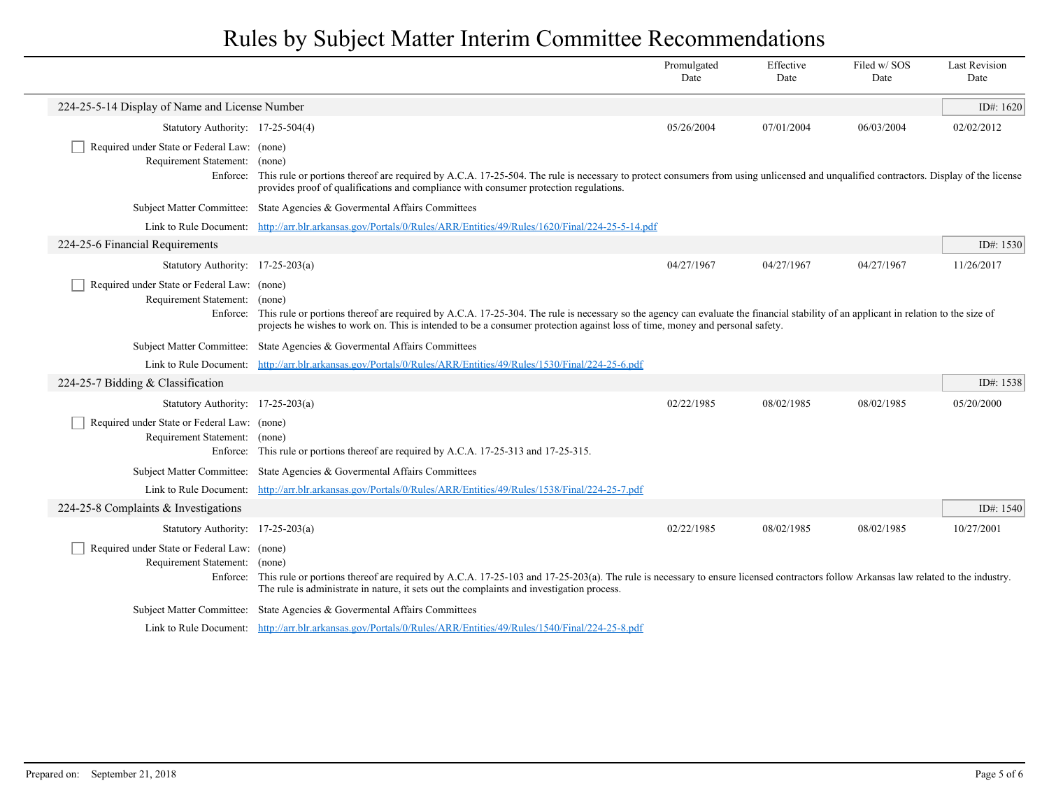|                                                                              |                                                                                                                                                                                                                                                                                                                              | Promulgated<br>Date | Effective<br>Date | Filed w/SOS<br>Date | <b>Last Revision</b><br>Date |
|------------------------------------------------------------------------------|------------------------------------------------------------------------------------------------------------------------------------------------------------------------------------------------------------------------------------------------------------------------------------------------------------------------------|---------------------|-------------------|---------------------|------------------------------|
| 224-25-5-14 Display of Name and License Number                               |                                                                                                                                                                                                                                                                                                                              |                     |                   |                     | ID#: $1620$                  |
| Statutory Authority: 17-25-504(4)                                            |                                                                                                                                                                                                                                                                                                                              | 05/26/2004          | 07/01/2004        | 06/03/2004          | 02/02/2012                   |
| Required under State or Federal Law: (none)<br>Requirement Statement: (none) | Enforce: This rule or portions thereof are required by A.C.A. 17-25-504. The rule is necessary to protect consumers from using unlicensed and unqualified contractors. Display of the license<br>provides proof of qualifications and compliance with consumer protection regulations.                                       |                     |                   |                     |                              |
|                                                                              | Subject Matter Committee: State Agencies & Governental Affairs Committees                                                                                                                                                                                                                                                    |                     |                   |                     |                              |
|                                                                              | Link to Rule Document: http://arr.blr.arkansas.gov/Portals/0/Rules/ARR/Entities/49/Rules/1620/Final/224-25-5-14.pdf                                                                                                                                                                                                          |                     |                   |                     |                              |
| 224-25-6 Financial Requirements                                              |                                                                                                                                                                                                                                                                                                                              |                     |                   |                     | ID#: 1530                    |
| Statutory Authority: 17-25-203(a)                                            |                                                                                                                                                                                                                                                                                                                              | 04/27/1967          | 04/27/1967        | 04/27/1967          | 11/26/2017                   |
| Required under State or Federal Law: (none)<br>Requirement Statement: (none) | Enforce: This rule or portions thereof are required by A.C.A. 17-25-304. The rule is necessary so the agency can evaluate the financial stability of an applicant in relation to the size of<br>projects he wishes to work on. This is intended to be a consumer protection against loss of time, money and personal safety. |                     |                   |                     |                              |
|                                                                              | Subject Matter Committee: State Agencies & Governental Affairs Committees                                                                                                                                                                                                                                                    |                     |                   |                     |                              |
|                                                                              | Link to Rule Document: http://arr.blr.arkansas.gov/Portals/0/Rules/ARR/Entities/49/Rules/1530/Final/224-25-6.pdf                                                                                                                                                                                                             |                     |                   |                     |                              |
| 224-25-7 Bidding & Classification                                            |                                                                                                                                                                                                                                                                                                                              |                     |                   |                     | ID#: 1538                    |
| Statutory Authority: 17-25-203(a)                                            |                                                                                                                                                                                                                                                                                                                              | 02/22/1985          | 08/02/1985        | 08/02/1985          | 05/20/2000                   |
| Required under State or Federal Law: (none)<br>Requirement Statement: (none) | Enforce: This rule or portions thereof are required by A.C.A. 17-25-313 and 17-25-315.                                                                                                                                                                                                                                       |                     |                   |                     |                              |
|                                                                              | Subject Matter Committee: State Agencies & Governental Affairs Committees                                                                                                                                                                                                                                                    |                     |                   |                     |                              |
|                                                                              | Link to Rule Document: http://arr.blr.arkansas.gov/Portals/0/Rules/ARR/Entities/49/Rules/1538/Final/224-25-7.pdf                                                                                                                                                                                                             |                     |                   |                     |                              |
| 224-25-8 Complaints & Investigations                                         |                                                                                                                                                                                                                                                                                                                              |                     |                   |                     | ID#: 1540                    |
| Statutory Authority: 17-25-203(a)                                            |                                                                                                                                                                                                                                                                                                                              | 02/22/1985          | 08/02/1985        | 08/02/1985          | 10/27/2001                   |
| Required under State or Federal Law: (none)<br>Requirement Statement: (none) | Enforce: This rule or portions thereof are required by A.C.A. 17-25-103 and 17-25-203(a). The rule is necessary to ensure licensed contractors follow Arkansas law related to the industry.<br>The rule is administrate in nature, it sets out the complaints and investigation process.                                     |                     |                   |                     |                              |
|                                                                              | Subject Matter Committee: State Agencies & Governental Affairs Committees                                                                                                                                                                                                                                                    |                     |                   |                     |                              |
|                                                                              | Link to Rule Document: http://arr.blr.arkansas.gov/Portals/0/Rules/ARR/Entities/49/Rules/1540/Final/224-25-8.pdf                                                                                                                                                                                                             |                     |                   |                     |                              |